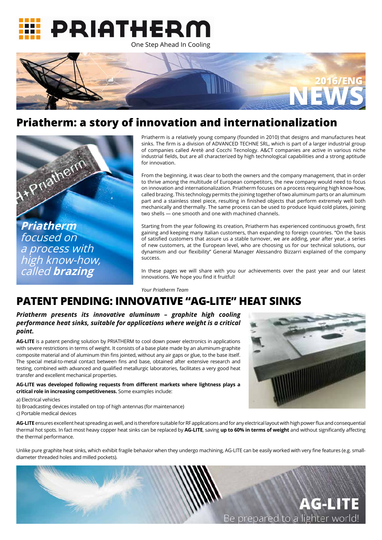Priatherm is a relatively young company (founded in 2010) that designs and manufactures heat sinks. The frm is a division of ADVANCED TECHNE SRL, which is part of a larger industrial group of companies called Aretè and Cocchi Tecnology. A&CT companies are active in various niche industrial felds, but are all characterized by high technological capabilities and a strong aptitude for innovation.

From the beginning, it was clear to both the owners and the company management, that in order to thrive among the multitude of European competitors, the new company would need to focus on innovation and internationalization. Priatherm focuses on a process requiring high know-how, called brazing. This technology permits the joining together of two aluminum parts or an aluminum part and a stainless steel piece, resulting in finished objects that perform extremely well both mechanically and thermally. The same process can be used to produce liquid cold plates, joining two shells — one smooth and one with machined channels.

In these pages we will share with you our achievements over the past year and our latest innovations. We hope you find it fruitful!

Starting from the year following its creation, Priatherm has experienced continuous growth, frst gaining and keeping many Italian customers, than expanding to foreign countries. "On the basis of satisfed customers that assure us a stable turnover, we are adding, year after year, a series of new customers, at the European level, who are choosing us for our technical solutions, our dynamism and our fexibility" General Manager Alessandro Bizzarri explained of the company success.

Unlike pure graphite heat sinks, which exhibit fragile behavior when they undergo machining, AG-LITE can be easily worked with very fine features (e.g. smalldiameter threaded holes and milled pockets).



*Your Priatherm Team*





## **Priatherm: a story of innovation and internationalization**



## **PATENT PENDING: INNOVATIVE "AG-LITE" HEAT SINKS**

*Priatherm presents its innovative aluminum – graphite high cooling performance heat sinks, suitable for applications where weight is a critical point.*

**AG-LITE** is a patent pending solution by PRIATHERM to cool down power electronics in applications with severe restrictions in terms of weight. It consists of a base plate made by an aluminum-graphite composite material and of aluminum thin fins jointed, without any air gaps or glue, to the base itself. The special metal-to-metal contact between fins and base, obtained after extensive research and testing, combined with advanced and qualifed metallurgic laboratories, facilitates a very good heat transfer and excellent mechanical properties.

**AG-LITE was developed following requests from diferent markets where lightness plays a critical role in increasing competitiveness.** Some examples include:

**AG-LITE** ensures excellent heat spreading as well, and is therefore suitable for RF applications and for any electrical layout with high power fux and consequential thermal hot spots. In fact most heavy copper heat sinks can be replaced by **AG-LITE**, saving **up to 60% in terms of weight** and without signifcantly afecting the thermal performance.

a) Electrical vehicles

b) Broadcasting devices installed on top of high antennas (for maintenance)



c) Portable medical devices

**Priatherm** focused on a process with high know-how, called **brazing**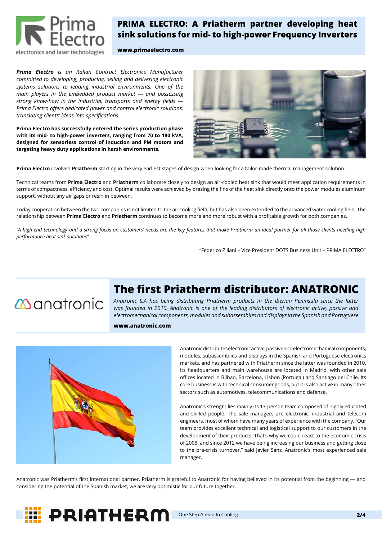*Prima Electro is an Italian Contract Electronics Manufacturer committed to developing, producing, selling and delivering electronic systems solutions to leading industrial environments. One of the main players in the embedded product market — and possessing strong know-how in the industrial, transports and energy felds — Prima Electro offers dedicated power and control electronic solutions, translating clients' ideas into specifcations.*

**Prima Electro has successfully entered the series production phase with its mid- to high-power inverters, ranging from 70 to 180 kVA, designed for sensorless control of induction and PM motors and targeting heavy duty applications in harsh environments.**



**Prima Electro** involved **Priatherm** starting in the very earliest stages of design when looking for a tailor-made thermal management solution.

Technical teams from **Prima Electro** and **Priatherm** collaborate closely to design an air-cooled heat sink that would meet application requirements in terms of compactness, efficiency and cost. Optimal results were achieved by brazing the fins of the heat sink directly onto the power modules aluminum support, without any air gaps or resin in between.

Today cooperation between the two companies is not limited to the air cooling feld, but has also been extended to the advanced water cooling feld. The relationship between **Prima Electro** and **Priatherm** continues to become more and more robust with a proftable growth for both companies.

Anatronic was Priatherm's first international partner. Priatherm is grateful to Anatronic for having believed in its potential from the beginning - and considering the potential of the Spanish market, we are very optimistic for our future together.

*"A high-end technology and a strong focus on customers' needs are the key features that make Priatherm an ideal partner for all those clients needing high performance heat sink solutions"* 

"Federico Ziliani – Vice President DOTS Business Unit – PRIMA ELECTRO"

# **The first Priatherm distributor: ANATRONIC**

**M**anatronic

Anatronic distributes electronic active, passive and electromechanical components, modules, subassemblies and displays in the Spanish and Portuguese electronics markets, and has partnered with Priatherm since the latter was founded in 2010. Its headquarters and main warehouse are located in Madrid, with other sale offices located in Bilbao, Barcelona, Lisbon (Portugal) and Santiago del Chile. Its core business is with technical consumer goods, but it is also active in many other sectors such as automotives, telecommunications and defense.

Anatronic's strength lies mainly its 13-person team composed of highly educated

and skilled people. The sale managers are electronic, industrial and telecom engineers, most of whom have many years of experience with the company. "Our team provides excellent technical and logistical support to our customers in the development of their products. That's why we could react to the economic crisis of 2008, and since 2012 we have being increasing our business and getting close to the pre-crisis turnover," said Javier Sanz, Anatronic's most experienced sale manager.

*Anatronic S.A has being distributing Priatherm products in the Iberian Peninsula since the latter was founded in 2010. Anatronic is one of the leading distributors of electronic active, passive and electromechanical components, modules and subassemblies and displays in the Spanish and Portuguese* 



### **PRIMA ELECTRO: A Priatherm partner developing heat sink solutions for mid- to high-power Frequency Inverters**

### **www.primaelectro.com**

#### **www.anatronic.com**



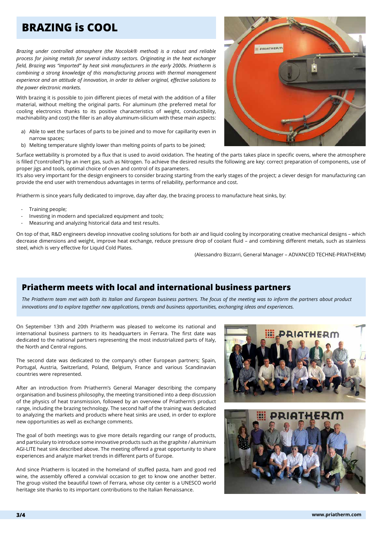*Brazing under controlled atmosphere (the Nocolok® method) is a robust and reliable process for joining metals for several industry sectors. Originating in the heat exchanger feld, Brazing was "imported" by heat sink manufacturers in the early 2000s. Priatherm is combining a strong knowledge of this manufacturing process with thermal management experience and an attitude of innovation, in order to deliver original, efective solutions to the power electronic markets.*

With brazing it is possible to join different pieces of metal with the addition of a filler material, without melting the original parts. For aluminum (the preferred metal for cooling electronics thanks to its positive characteristics of weight, conductibility, machinability and cost) the filler is an alloy aluminum-silicium with these main aspects:

- Training people;
- Investing in modern and specialized equipment and tools;
- Measuring and analyzing historical data and test results.
- a) Able to wet the surfaces of parts to be joined and to move for capillarity even in narrow spaces;
- b) Melting temperature slightly lower than melting points of parts to be joined;

PRIATHERM

On top of that, R&D engineers develop innovative cooling solutions for both air and liquid cooling by incorporating creative mechanical designs – which decrease dimensions and weight, improve heat exchange, reduce pressure drop of coolant fuid – and combining diferent metals, such as stainless steel, which is very effective for Liquid Cold Plates.

Surface wettability is promoted by a fux that is used to avoid oxidation. The heating of the parts takes place in specifc ovens, where the atmosphere is filled ("controlled") by an inert gas, such as Nitrogen. To achieve the desired results the following are key: correct preparation of components, use of proper jigs and tools, optimal choice of oven and control of its parameters.

It's also very important for the design engineers to consider brazing starting from the early stages of the project; a clever design for manufacturing can provide the end user with tremendous advantages in terms of reliability, performance and cost.

Priatherm is since years fully dedicated to improve, day after day, the brazing process to manufacture heat sinks, by:

(Alessandro Bizzarri, General Manager – ADVANCED TECHNE-PRIATHERM)

*The Priatherm team met with both its Italian and European business partners. The focus of the meeting was to inform the partners about product innovations and to explore together new applications, trends and business opportunities, exchanging ideas and experiences.*

On September 13th and 20th Priatherm was pleased to welcome its national and international business partners to its headquarters in Ferrara. The first date was dedicated to the national partners representing the most industrialized parts of Italy, the North and Central regions.

The second date was dedicated to the company's other European partners; Spain, Portugal, Austria, Switzerland, Poland, Belgium, France and various Scandinavian countries were represented.

After an introduction from Priatherm's General Manager describing the company organisation and business philosophy, the meeting transitioned into a deep discussion of the physics of heat transmission, followed by an overview of Priatherm's product range, including the brazing technology. The second half of the training was dedicated to analyzing the markets and products where heat sinks are used, in order to explore new opportunities as well as exchange comments.



The goal of both meetings was to give more details regarding our range of products, and particulary to introduce some innovative products such as the graphite / aluminium AGI-LITE heat sink described above. The meeting offered a great opportunity to share experiences and analyze market trends in diferent parts of Europe.

And since Priatherm is located in the homeland of stufed pasta, ham and good red wine, the assembly offered a convivial occasion to get to know one another better. The group visited the beautiful town of Ferrara, whose city center is a UNESCO world heritage site thanks to its important contributions to the Italian Renaissance.



## **BRAZING is COOL**

### **Priatherm meets with local and international business partners**

 **3/4 www.priatherm.com**